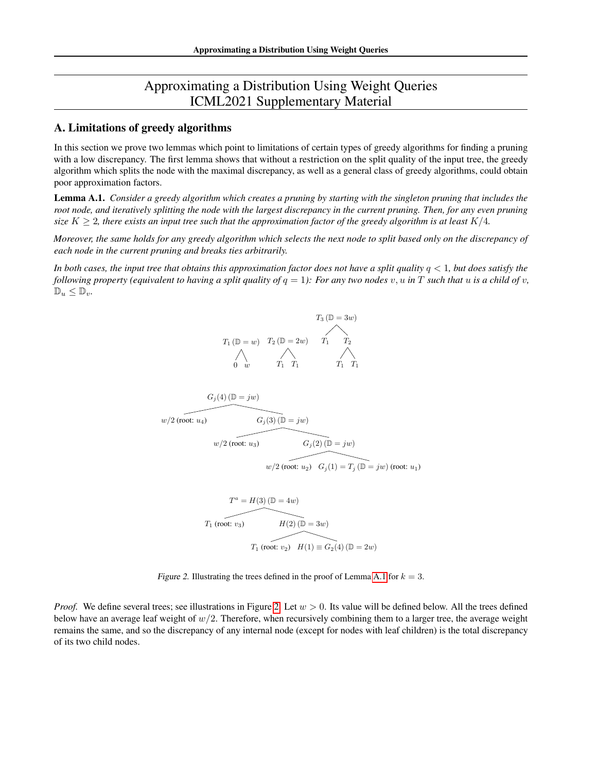# Approximating a Distribution Using Weight Queries ICML2021 Supplementary Material

# A. Limitations of greedy algorithms

In this section we prove two lemmas which point to limitations of certain types of greedy algorithms for finding a pruning with a low discrepancy. The first lemma shows that without a restriction on the split quality of the input tree, the greedy algorithm which splits the node with the maximal discrepancy, as well as a general class of greedy algorithms, could obtain poor approximation factors.

<span id="page-0-0"></span>Lemma A.1. *Consider a greedy algorithm which creates a pruning by starting with the singleton pruning that includes the root node, and iteratively splitting the node with the largest discrepancy in the current pruning. Then, for any even pruning size*  $K > 2$ , there exists an input tree such that the approximation factor of the greedy algorithm is at least  $K/4$ .

*Moreover, the same holds for any greedy algorithm which selects the next node to split based only on the discrepancy of each node in the current pruning and breaks ties arbitrarily.*

In both cases, the input tree that obtains this approximation factor does not have a split quality  $q < 1$ , but does satisfy the *following property (equivalent to having a split quality of*  $q = 1$ ): For any two nodes v, u in T such that u is a child of v,  $\mathbb{D}_u \leq \mathbb{D}_v$ .

$$
T_3 (\mathbb{D} = 3w)
$$
  
\n
$$
T_1 (\mathbb{D} = w) \quad T_2 (\mathbb{D} = 2w) \quad T_1 \quad T_2
$$
  
\n
$$
\begin{array}{ccc}\n & \nearrow & \nearrow \\
0 & w & T_1 & T_1 & T_1 \\
\end{array}
$$

$$
G_j(4) (\mathbb{D} = jw)
$$
  

$$
w/2 \text{ (root: } u_4)
$$
  

$$
w/2 \text{ (root: } u_3)
$$
  

$$
w/2 \text{ (root: } u_3)
$$
  

$$
w/2 \text{ (root: } u_2)
$$
  

$$
G_j(2) (\mathbb{D} = jw)
$$
  

$$
G_j(1) = T_j (\mathbb{D} = jw) \text{ (root: } u_1)
$$

$$
T^{a} = H(3) (\mathbb{D} = 4w)
$$
  
\n
$$
T_{1} \text{ (root: } v_{3})
$$
  
\n
$$
H(2) (\mathbb{D} = 3w)
$$
  
\n
$$
T_{1} \text{ (root: } v_{2})
$$
  
\n
$$
H(1) \equiv G_{2}(4) (\mathbb{D} = 2w)
$$

<span id="page-0-1"></span>Figure 2. Illustrating the trees defined in the proof of Lemma [A.1](#page-0-0) for  $k = 3$ .

*Proof.* We define several trees; see illustrations in Figure [2.](#page-0-1) Let  $w > 0$ . Its value will be defined below. All the trees defined below have an average leaf weight of  $w/2$ . Therefore, when recursively combining them to a larger tree, the average weight remains the same, and so the discrepancy of any internal node (except for nodes with leaf children) is the total discrepancy of its two child nodes.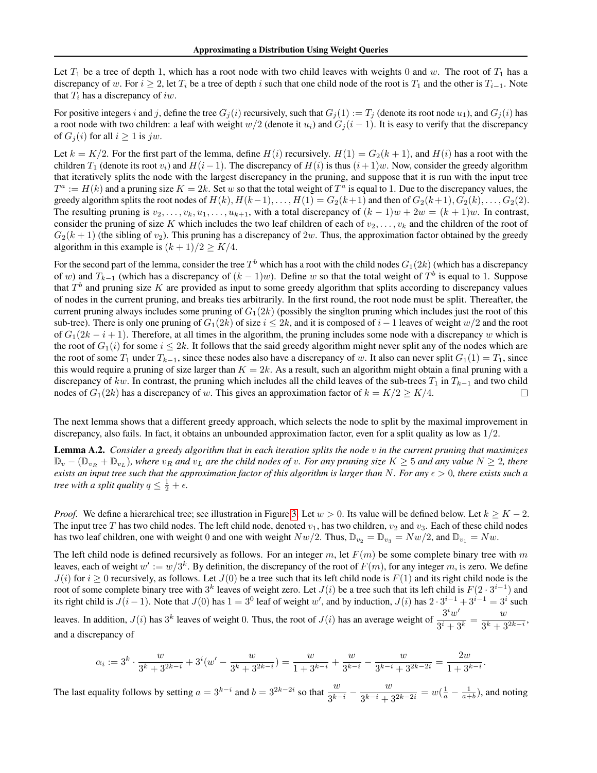Let  $T_1$  be a tree of depth 1, which has a root node with two child leaves with weights 0 and w. The root of  $T_1$  has a discrepancy of w. For  $i \ge 2$ , let  $T_i$  be a tree of depth i such that one child node of the root is  $T_1$  and the other is  $T_{i-1}$ . Note that  $T_i$  has a discrepancy of iw.

For positive integers i and j, define the tree  $G_i(i)$  recursively, such that  $G_i(1) := T_i$  (denote its root node  $u_1$ ), and  $G_i(i)$  has a root node with two children: a leaf with weight  $w/2$  (denote it  $u_i$ ) and  $G_j(i-1)$ . It is easy to verify that the discrepancy of  $G_i(i)$  for all  $i \geq 1$  is jw.

Let  $k = K/2$ . For the first part of the lemma, define  $H(i)$  recursively.  $H(1) = G_2(k + 1)$ , and  $H(i)$  has a root with the children  $T_1$  (denote its root  $v_i$ ) and  $H(i - 1)$ . The discrepancy of  $H(i)$  is thus  $(i + 1)w$ . Now, consider the greedy algorithm that iteratively splits the node with the largest discrepancy in the pruning, and suppose that it is run with the input tree  $T^a := H(k)$  and a pruning size  $K = 2k$ . Set w so that the total weight of  $T^a$  is equal to 1. Due to the discrepancy values, the greedy algorithm splits the root nodes of  $H(k)$ ,  $H(k-1)$ , ...,  $H(1) = G_2(k+1)$  and then of  $G_2(k+1)$ ,  $G_2(k)$ , ...,  $G_2(2)$ . The resulting pruning is  $v_2, \ldots, v_k, u_1, \ldots, u_{k+1}$ , with a total discrepancy of  $(k-1)w + 2w = (k+1)w$ . In contrast, consider the pruning of size K which includes the two leaf children of each of  $v_2, \ldots, v_k$  and the children of the root of  $G_2(k+1)$  (the sibling of  $v_2$ ). This pruning has a discrepancy of  $2w$ . Thus, the approximation factor obtained by the greedy algorithm in this example is  $(k + 1)/2 \geq K/4$ .

For the second part of the lemma, consider the tree  $T^b$  which has a root with the child nodes  $G_1(2k)$  (which has a discrepancy of w) and  $T_{k-1}$  (which has a discrepancy of  $(k-1)w$ ). Define w so that the total weight of  $T^b$  is equal to 1. Suppose that  $T<sup>b</sup>$  and pruning size K are provided as input to some greedy algorithm that splits according to discrepancy values of nodes in the current pruning, and breaks ties arbitrarily. In the first round, the root node must be split. Thereafter, the current pruning always includes some pruning of  $G_1(2k)$  (possibly the singlton pruning which includes just the root of this sub-tree). There is only one pruning of  $G_1(2k)$  of size  $i \leq 2k$ , and it is composed of  $i - 1$  leaves of weight  $w/2$  and the root of  $G_1(2k - i + 1)$ . Therefore, at all times in the algorithm, the pruning includes some node with a discrepancy w which is the root of  $G_1(i)$  for some  $i \leq 2k$ . It follows that the said greedy algorithm might never split any of the nodes which are the root of some  $T_1$  under  $T_{k-1}$ , since these nodes also have a discrepancy of w. It also can never split  $G_1(1) = T_1$ , since this would require a pruning of size larger than  $K = 2k$ . As a result, such an algorithm might obtain a final pruning with a discrepancy of kw. In contrast, the pruning which includes all the child leaves of the sub-trees  $T_1$  in  $T_{k-1}$  and two child nodes of  $G_1(2k)$  has a discrepancy of w. This gives an approximation factor of  $k = K/2 \ge K/4$ .  $\Box$ 

The next lemma shows that a different greedy approach, which selects the node to split by the maximal improvement in discrepancy, also fails. In fact, it obtains an unbounded approximation factor, even for a split quality as low as 1/2.

<span id="page-1-0"></span>Lemma A.2. *Consider a greedy algorithm that in each iteration splits the node* v *in the current pruning that maximizes*  $\mathbb{D}_v - (\mathbb{D}_{v_R} + \mathbb{D}_{v_L})$ , where  $v_R$  and  $v_L$  are the child nodes of v. For any pruning size  $K \geq 5$  and any value  $N \geq 2$ , there *exists an input tree such that the approximation factor of this algorithm is larger than* N. For any  $\epsilon > 0$ , there exists such a *tree with a split quality*  $q \leq \frac{1}{2} + \epsilon$ .

*Proof.* We define a hierarchical tree; see illustration in Figure [3.](#page-2-0) Let  $w > 0$ . Its value will be defined below. Let  $k \geq K - 2$ . The input tree T has two child nodes. The left child node, denoted  $v_1$ , has two children,  $v_2$  and  $v_3$ . Each of these child nodes has two leaf children, one with weight 0 and one with weight  $Nw/2$ . Thus,  $\mathbb{D}_{v_2} = \mathbb{D}_{v_3} = Nw/2$ , and  $\mathbb{D}_{v_1} = Nw$ .

The left child node is defined recursively as follows. For an integer m, let  $F(m)$  be some complete binary tree with m leaves, each of weight  $w' := w/3^k$ . By definition, the discrepancy of the root of  $F(m)$ , for any integer m, is zero. We define  $J(i)$  for  $i \ge 0$  recursively, as follows. Let  $J(0)$  be a tree such that its left child node is  $F(1)$  and its right child node is the root of some complete binary tree with  $3^k$  leaves of weight zero. Let  $J(i)$  be a tree such that its left child is  $F(2 \cdot 3^{i-1})$  and its right child is  $J(i-1)$ . Note that  $J(0)$  has  $1 = 3^0$  leaf of weight w', and by induction,  $J(i)$  has  $2 \cdot 3^{i-1} + 3^{i-1} = 3^i$  such leaves. In addition,  $J(i)$  has  $3^k$  leaves of weight 0. Thus, the root of  $J(i)$  has an average weight of  $\frac{3^i w'}{2^i}$  $rac{3^i w'}{3^i + 3^k} = \frac{w}{3^k + 3}$  $\frac{a}{3^k+3^{2k-i}},$ and a discrepancy of

$$
\alpha_i := 3^k \cdot \frac{w}{3^k + 3^{2k - i}} + 3^i(w' - \frac{w}{3^k + 3^{2k - i}}) = \frac{w}{1 + 3^{k - i}} + \frac{w}{3^{k - i}} - \frac{w}{3^{k - i} + 3^{2k - 2i}} = \frac{2w}{1 + 3^{k - i}}.
$$

The last equality follows by setting  $a = 3^{k-i}$  and  $b = 3^{2k-2i}$  so that  $\frac{w}{3^{k-i}} - \frac{w}{3^{k-i} + 3^{k-i}}$  $\frac{w}{3^{k-i} + 3^{2k-2i}} = w(\frac{1}{a} - \frac{1}{a+b})$ , and noting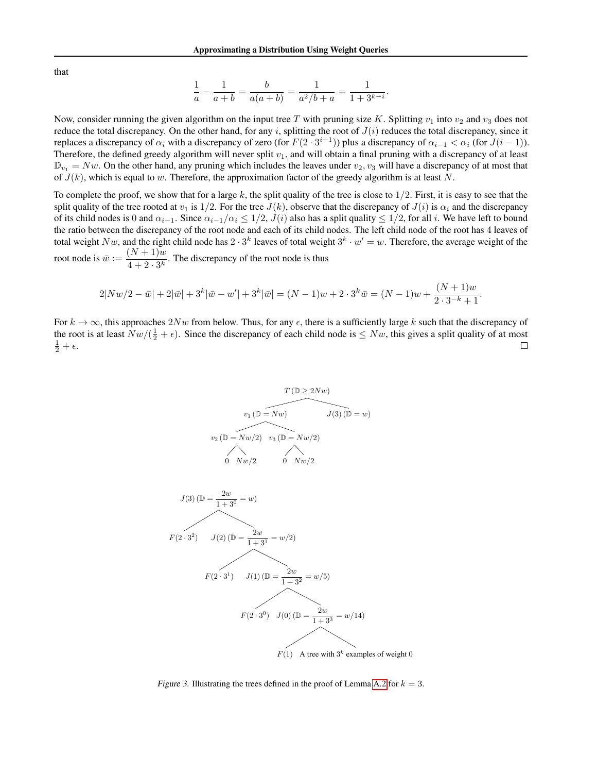that

$$
\frac{1}{a} - \frac{1}{a+b} = \frac{b}{a(a+b)} = \frac{1}{a^2/b+a} = \frac{1}{1+3^{k-i}}.
$$

Now, consider running the given algorithm on the input tree T with pruning size K. Splitting  $v_1$  into  $v_2$  and  $v_3$  does not reduce the total discrepancy. On the other hand, for any i, splitting the root of  $J(i)$  reduces the total discrepancy, since it replaces a discrepancy of  $\alpha_i$  with a discrepancy of zero (for  $F(2 \cdot 3^{i-1})$ ) plus a discrepancy of  $\alpha_{i-1} < \alpha_i$  (for  $J(i-1)$ ). Therefore, the defined greedy algorithm will never split  $v_1$ , and will obtain a final pruning with a discrepancy of at least  $\mathbb{D}_{v_1} = Nw$ . On the other hand, any pruning which includes the leaves under  $v_2, v_3$  will have a discrepancy of at most that of  $J(k)$ , which is equal to w. Therefore, the approximation factor of the greedy algorithm is at least N.

To complete the proof, we show that for a large k, the split quality of the tree is close to  $1/2$ . First, it is easy to see that the split quality of the tree rooted at  $v_1$  is  $1/2$ . For the tree  $J(k)$ , observe that the discrepancy of  $J(i)$  is  $\alpha_i$  and the discrepancy of its child nodes is 0 and  $\alpha_{i-1}$ . Since  $\alpha_{i-1}/\alpha_i \leq 1/2$ ,  $J(i)$  also has a split quality  $\leq 1/2$ , for all i. We have left to bound the ratio between the discrepancy of the root node and each of its child nodes. The left child node of the root has 4 leaves of total weight  $Nw$ , and the right child node has  $2 \cdot 3^k$  leaves of total weight  $3^k \cdot w' = w$ . Therefore, the average weight of the root node is  $\bar{w} := \frac{(N+1)w}{4+9-2k}$ 

 $\frac{(1+i)^{1/2}}{4+2\cdot 3^k}$ . The discrepancy of the root node is thus

$$
2|Nw/2 - \bar{w}| + 2|\bar{w}| + 3^k|\bar{w} - w'| + 3^k|\bar{w}| = (N-1)w + 2 \cdot 3^k \bar{w} = (N-1)w + \frac{(N+1)w}{2 \cdot 3^{-k} + 1}.
$$

For  $k \to \infty$ , this approaches 2Nw from below. Thus, for any  $\epsilon$ , there is a sufficiently large k such that the discrepancy of the root is at least  $Nw/(\frac{1}{2} + \epsilon)$ . Since the discrepancy of each child node is  $\leq Nw$ , this gives a split quality of at most  $\frac{1}{2}+\epsilon.$ 

$$
T(\mathbb{D} \ge 2Nw)
$$
  

$$
v_1(\mathbb{D} = Nw)
$$
  

$$
J(3)(\mathbb{D} = w)
$$
  

$$
v_2(\mathbb{D} = Nw/2)
$$
  

$$
v_3(\mathbb{D} = Nw/2)
$$
  

$$
0 \quad Nw/2
$$



<span id="page-2-0"></span>Figure 3. Illustrating the trees defined in the proof of Lemma [A.2](#page-1-0) for  $k = 3$ .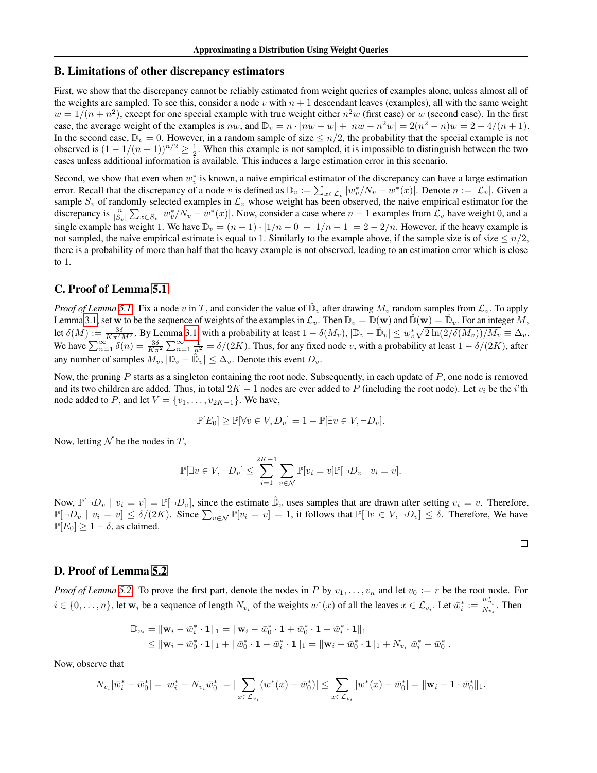#### B. Limitations of other discrepancy estimators

First, we show that the discrepancy cannot be reliably estimated from weight queries of examples alone, unless almost all of the weights are sampled. To see this, consider a node v with  $n + 1$  descendant leaves (examples), all with the same weight  $w = 1/(n + n^2)$ , except for one special example with true weight either  $n^2w$  (first case) or w (second case). In the first case, the average weight of the examples is nw, and  $\mathbb{D}_v = n \cdot |nw - w| + |nw - n^2w| = 2(n^2 - n)w = 2 - 4/(n + 1)$ . In the second case,  $\mathbb{D}_v = 0$ . However, in a random sample of size  $\leq n/2$ , the probability that the special example is not observed is  $(1 - 1/(n + 1))^{n/2} \ge \frac{1}{2}$ . When this example is not sampled, it is impossible to distinguish between the two cases unless additional information is available. This induces a large estimation error in this scenario.

Second, we show that even when  $w_v^*$  is known, a naive empirical estimator of the discrepancy can have a large estimation error. Recall that the discrepancy of a node v is defined as  $\mathbb{D}_v := \sum_{x \in \mathcal{L}_v} |w_v^*/N_v - w^*(x)|$ . Denote  $n := |\mathcal{L}_v|$ . Given a sample  $S_v$  of randomly selected examples in  $\mathcal{L}_v$  whose weight has been observed, the naive empirical estimator for the discrepancy is  $\frac{n}{|S_v|} \sum_{x \in S_v} |w_v^*/N_v - w^*(x)|$ . Now, consider a case where  $n-1$  examples from  $\mathcal{L}_v$  have weight 0, and a single example has weight 1. We have  $\mathbb{D}_v = (n-1) \cdot |1/n - 0| + |1/n - 1| = 2 - 2/n$ . However, if the heavy example is not sampled, the naive empirical estimate is equal to 1. Similarly to the example above, if the sample size is of size  $\leq n/2$ , there is a probability of more than half that the heavy example is not observed, leading to an estimation error which is close to 1.

## C. Proof of Lemma [5.1](#page--1-0)

*Proof of Lemma* [5.1.](#page--1-0) Fix a node v in T, and consider the value of  $\hat{D}_v$  after drawing  $M_v$  random samples from  $\mathcal{L}_v$ . To apply Lemma [3.1,](#page--1-1) set w to be the sequence of weights of the examples in  $\mathcal{L}_v$ . Then  $\mathbb{D}_v = \mathbb{D}(\mathbf{w})$  and  $\mathbb{D}(\mathbf{w}) = \mathbb{D}_v$ . For an integer M, let  $\delta(M) := \frac{3\delta}{K\pi^2 M^2}$ . By Lemma [3.1,](#page--1-1) with a probability at least  $1 - \delta(M_v)$ ,  $|\mathbb{D}_v - \hat{\mathbb{D}}_v| \leq w_v^* \sqrt{2\ln(2/\delta(M_v))/M_v} \equiv \Delta_v$ . We have  $\sum_{n=1}^{\infty} \delta(n) = \frac{3\delta}{K\pi^2} \sum_{n=1}^{\infty} \frac{1}{n^2} = \delta/(2K)$ . Thus, for any fixed node v, with a probability at least  $1 - \delta/(2K)$ , after any number of samples  $\widetilde{M}_v$ ,  $|\mathbb{D}_v - \widetilde{\mathbb{D}}_v| \leq \Delta_v$ . Denote this event  $D_v$ .

Now, the pruning  $P$  starts as a singleton containing the root node. Subsequently, in each update of  $P$ , one node is removed and its two children are added. Thus, in total  $2K - 1$  nodes are ever added to P (including the root node). Let  $v_i$  be the i'th node added to P, and let  $V = \{v_1, \ldots, v_{2K-1}\}\.$  We have,

$$
\mathbb{P}[E_0] \ge \mathbb{P}[\forall v \in V, D_v] = 1 - \mathbb{P}[\exists v \in V, \neg D_v].
$$

Now, letting  $N$  be the nodes in T,

$$
\mathbb{P}[\exists v \in V, \neg D_v] \le \sum_{i=1}^{2K-1} \sum_{v \in \mathcal{N}} \mathbb{P}[v_i = v] \mathbb{P}[\neg D_v \mid v_i = v].
$$

Now,  $\mathbb{P}[\neg D_v \mid v_i = v] = \mathbb{P}[\neg D_v]$ , since the estimate  $\hat{\mathbb{D}}_v$  uses samples that are drawn after setting  $v_i = v$ . Therefore,  $\mathbb{P}[\neg D_v \mid v_i = v] \le \delta/(2K)$ . Since  $\sum_{v \in \mathcal{N}} \mathbb{P}[v_i = v] = 1$ , it follows that  $\mathbb{P}[\exists v \in V, \neg D_v] \le \delta$ . Therefore, We have  $\mathbb{P}[E_0] \geq 1 - \delta$ , as claimed.

 $\Box$ 

#### D. Proof of Lemma [5.2](#page--1-2)

*Proof of Lemma* [5.2.](#page--1-2) To prove the first part, denote the nodes in P by  $v_1, \ldots, v_n$  and let  $v_0 := r$  be the root node. For  $i \in \{0, \ldots, n\}$ , let  $w_i$  be a sequence of length  $N_{v_i}$  of the weights  $w^*(x)$  of all the leaves  $x \in \mathcal{L}_{v_i}$ . Let  $\overline{w}_i^* := \frac{w_{v_i}^*}{N_{v_i}}$ . Then

$$
\begin{aligned} \mathbb{D}_{v_i} &= \|\mathbf{w}_i - \bar{w}_i^* \cdot \mathbf{1}\|_1 = \|\mathbf{w}_i - \bar{w}_0^* \cdot \mathbf{1} + \bar{w}_0^* \cdot \mathbf{1} - \bar{w}_i^* \cdot \mathbf{1}\|_1 \\ &\leq \|\mathbf{w}_i - \bar{w}_0^* \cdot \mathbf{1}\|_1 + \|\bar{w}_0^* \cdot \mathbf{1} - \bar{w}_i^* \cdot \mathbf{1}\|_1 = \|\mathbf{w}_i - \bar{w}_0^* \cdot \mathbf{1}\|_1 + N_{v_i}|\bar{w}_i^* - \bar{w}_0^*|. \end{aligned}
$$

Now, observe that

$$
N_{v_i}|\bar{w}_i^* - \bar{w}_0^*| = |w_i^* - N_{v_i}\bar{w}_0^*| = |\sum_{x \in \mathcal{L}_{v_i}} (w^*(x) - \bar{w}_0^*)| \le \sum_{x \in \mathcal{L}_{v_i}} |w^*(x) - \bar{w}_0^*| = ||\mathbf{w}_i - \mathbf{1} \cdot \bar{w}_0^*||_1.
$$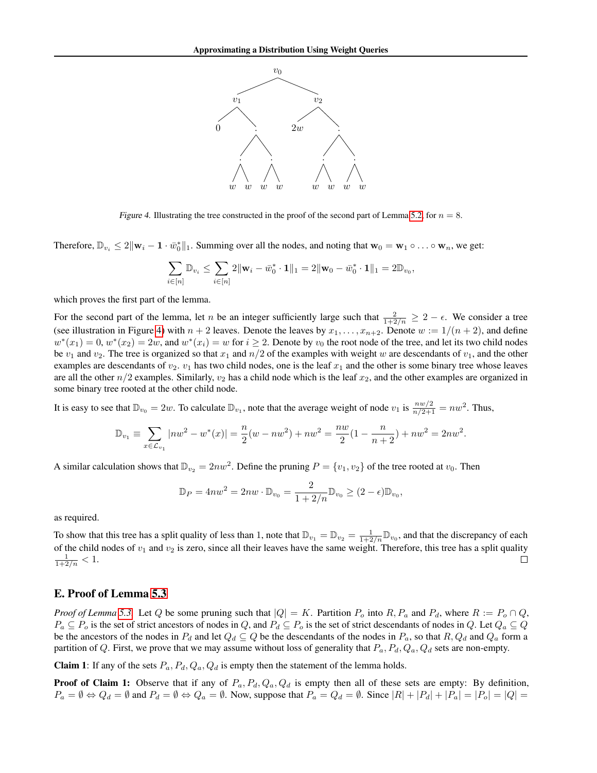

<span id="page-4-0"></span>Figure 4. Illustrating the tree constructed in the proof of the second part of Lemma [5.2,](#page--1-2) for  $n = 8$ .

Therefore,  $\mathbb{D}_{v_i} \leq 2\|\mathbf{w}_i - \mathbf{1} \cdot \vec{w}_0^*\|_1$ . Summing over all the nodes, and noting that  $\mathbf{w}_0 = \mathbf{w}_1 \circ \dots \circ \mathbf{w}_n$ , we get:

$$
\sum_{i \in [n]} \mathbb{D}_{v_i} \leq \sum_{i \in [n]} 2\|\mathbf{w}_i - \bar{w}_0^* \cdot \mathbf{1}\|_1 = 2\|\mathbf{w}_0 - \bar{w}_0^* \cdot \mathbf{1}\|_1 = 2\mathbb{D}_{v_0}
$$

,

which proves the first part of the lemma.

For the second part of the lemma, let n be an integer sufficiently large such that  $\frac{2}{1+2/n} \geq 2 - \epsilon$ . We consider a tree (see illustration in Figure [4\)](#page-4-0) with  $n + 2$  leaves. Denote the leaves by  $x_1, \ldots, x_{n+2}$ . Denote  $w := 1/(n + 2)$ , and define  $w^*(x_1) = 0$ ,  $w^*(x_2) = 2w$ , and  $w^*(x_i) = w$  for  $i \ge 2$ . Denote by  $v_0$  the root node of the tree, and let its two child nodes be  $v_1$  and  $v_2$ . The tree is organized so that  $x_1$  and  $n/2$  of the examples with weight w are descendants of  $v_1$ , and the other examples are descendants of  $v_2$ .  $v_1$  has two child nodes, one is the leaf  $x_1$  and the other is some binary tree whose leaves are all the other  $n/2$  examples. Similarly,  $v_2$  has a child node which is the leaf  $x_2$ , and the other examples are organized in some binary tree rooted at the other child node.

It is easy to see that  $\mathbb{D}_{v_0} = 2w$ . To calculate  $\mathbb{D}_{v_1}$ , note that the average weight of node  $v_1$  is  $\frac{nw/2}{n/2+1} = nw^2$ . Thus,

$$
\mathbb{D}_{v_1} \equiv \sum_{x \in \mathcal{L}_{v_1}} |nw^2 - w^*(x)| = \frac{n}{2}(w - nw^2) + nw^2 = \frac{nw}{2}(1 - \frac{n}{n+2}) + nw^2 = 2nw^2.
$$

A similar calculation shows that  $\mathbb{D}_{v_2} = 2nw^2$ . Define the pruning  $P = \{v_1, v_2\}$  of the tree rooted at  $v_0$ . Then

$$
\mathbb{D}_P = 4nw^2 = 2nw \cdot \mathbb{D}_{v_0} = \frac{2}{1 + 2/n} \mathbb{D}_{v_0} \ge (2 - \epsilon) \mathbb{D}_{v_0},
$$

as required.

To show that this tree has a split quality of less than 1, note that  $\mathbb{D}_{v_1} = \mathbb{D}_{v_2} = \frac{1}{1+2/n} \mathbb{D}_{v_0}$ , and that the discrepancy of each of the child nodes of  $v_1$  and  $v_2$  is zero, since all their leaves have the same weight. Therefore, this tree has a split quality  $\frac{1}{1+2/n} < 1.$  $\Box$ 

### E. Proof of Lemma [5.3](#page--1-3)

*Proof of Lemma* [5.3.](#page--1-3) Let Q be some pruning such that  $|Q| = K$ . Partition  $P_o$  into  $R$ ,  $P_a$  and  $P_d$ , where  $R := P_o \cap Q$ ,  $P_a \subseteq P_o$  is the set of strict ancestors of nodes in Q, and  $P_d \subseteq P_o$  is the set of strict descendants of nodes in Q. Let  $Q_a \subseteq Q$ be the ancestors of the nodes in  $P_d$  and let  $Q_d \subseteq Q$  be the descendants of the nodes in  $P_a$ , so that  $R$ ,  $Q_d$  and  $Q_a$  form a partition of Q. First, we prove that we may assume without loss of generality that  $P_a$ ,  $P_d$ ,  $Q_a$ ,  $Q_d$  sets are non-empty.

**Claim 1**: If any of the sets  $P_a$ ,  $P_d$ ,  $Q_a$ ,  $Q_d$  is empty then the statement of the lemma holds.

**Proof of Claim 1:** Observe that if any of  $P_a$ ,  $P_d$ ,  $Q_a$ ,  $Q_d$  is empty then all of these sets are empty: By definition,  $P_a = \emptyset \Leftrightarrow Q_d = \emptyset$  and  $P_d = \emptyset \Leftrightarrow Q_a = \emptyset$ . Now, suppose that  $P_a = Q_d = \emptyset$ . Since  $|R| + |P_d| + |P_a| = |P_o| = |Q|$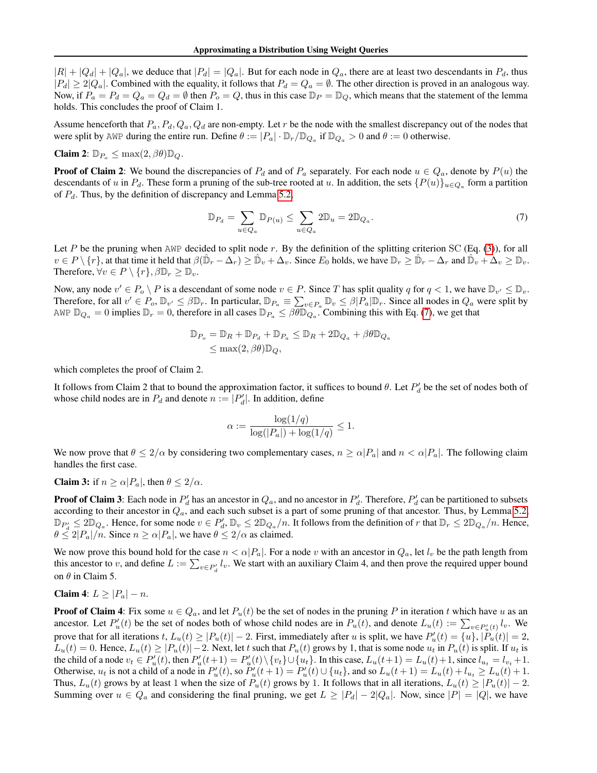$|R| + |Q_a| + |Q_a|$ , we deduce that  $|P_a| = |Q_a|$ . But for each node in  $Q_a$ , there are at least two descendants in  $P_a$ , thus  $|P_d| \geq 2|Q_a|$ . Combined with the equality, it follows that  $P_d = Q_a = \emptyset$ . The other direction is proved in an analogous way. Now, if  $P_a = P_d = Q_a = Q_d = \emptyset$  then  $P_o = Q$ , thus in this case  $\mathbb{D}_P = \mathbb{D}_Q$ , which means that the statement of the lemma holds. This concludes the proof of Claim 1.

Assume henceforth that  $P_a$ ,  $P_d$ ,  $Q_a$ ,  $Q_d$  are non-empty. Let r be the node with the smallest discrepancy out of the nodes that were split by AWP during the entire run. Define  $\theta := |P_a| \cdot \mathbb{D}_r / \mathbb{D}_{Q_a}$  if  $\mathbb{D}_{Q_a} > 0$  and  $\theta := 0$  otherwise.

#### Claim 2:  $\mathbb{D}_{P_o} \leq \max(2, \beta \theta) \mathbb{D}_Q$ .

**Proof of Claim 2:** We bound the discrepancies of  $P_d$  and of  $P_a$  separately. For each node  $u \in Q_a$ , denote by  $P(u)$  the descendants of u in  $P_d$ . These form a pruning of the sub-tree rooted at u. In addition, the sets  $\{P(u)\}_{u\in Q_a}$  form a partition of  $P_d$ . Thus, by the definition of discrepancy and Lemma [5.2,](#page--1-2)

<span id="page-5-0"></span>
$$
\mathbb{D}_{P_d} = \sum_{u \in Q_a} \mathbb{D}_{P(u)} \le \sum_{u \in Q_a} 2\mathbb{D}_u = 2\mathbb{D}_{Q_a}.
$$
\n<sup>(7)</sup>

Let P be the pruning when  $AWP$  decided to split node r. By the definition of the splitting criterion SC (Eq. [\(3\)](#page--1-4)), for all  $v \in P \setminus \{r\}$ , at that time it held that  $\beta(\hat{\mathbb{D}}_r - \hat{\Delta_r}) \geq \hat{\mathbb{D}}_v + \hat{\Delta_v}$ . Since  $E_0$  holds, we have  $\mathbb{D}_r \geq \hat{\mathbb{D}}_r - \hat{\Delta}_r$  and  $\hat{\mathbb{D}}_v + \hat{\Delta_v} \geq \mathbb{D}_v$ . Therefore,  $\forall v \in P \setminus \{r\}, \beta \mathbb{D}_r \geq \mathbb{D}_v$ .

Now, any node  $v' \in P_o \setminus P$  is a descendant of some node  $v \in P$ . Since T has split quality q for  $q < 1$ , we have  $\mathbb{D}_{v'} \leq \mathbb{D}_{v}$ . Therefore, for all  $v' \in P_o$ ,  $\mathbb{D}_{v'} \leq \beta \mathbb{D}_r$ . In particular,  $\mathbb{D}_{P_a} \equiv \sum_{v \in P_a} \mathbb{D}_v \leq \beta |P_a| \mathbb{D}_r$ . Since all nodes in  $Q_a$  were split by AWP  $\mathbb{D}_{Q_a} = 0$  implies  $\mathbb{D}_r = 0$ , therefore in all cases  $\mathbb{D}_{P_a} \leq \beta \widetilde{\theta} \mathbb{D}_{Q_a} \cdot \widetilde{\theta}$ . Combining this with Eq. [\(7\)](#page-5-0), we get that

$$
\mathbb{D}_{P_o} = \mathbb{D}_R + \mathbb{D}_{P_d} + \mathbb{D}_{P_a} \le \mathbb{D}_R + 2\mathbb{D}_{Q_a} + \beta\theta \mathbb{D}_{Q_a}
$$
  

$$
\le \max(2, \beta\theta)\mathbb{D}_Q,
$$

which completes the proof of Claim 2.

It follows from Claim 2 that to bound the approximation factor, it suffices to bound  $\theta$ . Let  $P'_d$  be the set of nodes both of whose child nodes are in  $P_d$  and denote  $n := |P'_d|$ . In addition, define

$$
\alpha := \frac{\log(1/q)}{\log(|P_a|) + \log(1/q)} \le 1.
$$

We now prove that  $\theta \le 2/\alpha$  by considering two complementary cases,  $n \ge \alpha |P_a|$  and  $n < \alpha |P_a|$ . The following claim handles the first case.

**Claim 3:** if  $n \ge \alpha |P_a|$ , then  $\theta \le 2/\alpha$ .

**Proof of Claim 3**: Each node in  $P'_d$  has an ancestor in  $Q_a$ , and no ancestor in  $P'_d$ . Therefore,  $P'_d$  can be partitioned to subsets according to their ancestor in  $Q_a$ , and each such subset is a part of some pruning of that ancestor. Thus, by Lemma [5.2,](#page--1-2)  $\mathbb{D}_{P_d'} \leq 2\mathbb{D}_{Q_a}$ . Hence, for some node  $v \in P_d'$ ,  $\mathbb{D}_v \leq 2\mathbb{D}_{Q_a}/n$ . It follows from the definition of r that  $\mathbb{D}_r \leq 2\mathbb{D}_{Q_a}/n$ . Hence,  $\theta \leq 2|P_a|/n$ . Since  $n \geq \alpha |P_a|$ , we have  $\theta \leq 2/\alpha$  as claimed.

We now prove this bound hold for the case  $n < \alpha |P_a|$ . For a node v with an ancestor in  $Q_a$ , let  $l_v$  be the path length from this ancestor to v, and define  $L := \sum_{v \in P'_d} l_v$ . We start with an auxiliary Claim 4, and then prove the required upper bound on  $\theta$  in Claim 5.

Claim 4:  $L \geq |P_a| - n$ .

**Proof of Claim 4**: Fix some  $u \in Q_a$ , and let  $P_u(t)$  be the set of nodes in the pruning P in iteration t which have u as an ancestor. Let  $P'_u(t)$  be the set of nodes both of whose child nodes are in  $P_u(t)$ , and denote  $L_u(t) := \sum_{v \in P'_u(t)} l_v$ . We prove that for all iterations  $t, L_u(t) \geq |P_u(t)| - 2$ . First, immediately after u is split, we have  $P'_u(t) = \{u\}, |\tilde{P}_u(t)| = 2$ ,  $L_u(t) = 0$ . Hence,  $L_u(t) \ge |P_u(t)| - 2$ . Next, let t such that  $P_u(t)$  grows by 1, that is some node  $u_t$  in  $P_u(t)$  is split. If  $u_t$  is the child of a node  $v_t \in P'_u(t)$ , then  $P'_u(t+1) = P'_u(t) \setminus \{v_t\} \cup \{u_t\}$ . In this case,  $L_u(t+1) = L_u(t) + 1$ , since  $l_{u_t} = l_{v_t} + 1$ . Otherwise,  $u_t$  is not a child of a node in  $P'_u(t)$ , so  $P'_u(t+1) = P'_u(t) \cup \{u_t\}$ , and so  $L_u(t+1) = L_u(t) + l_{u_t} \ge L_u(t) + 1$ . Thus,  $L_u(t)$  grows by at least 1 when the size of  $P_u(t)$  grows by 1. It follows that in all iterations,  $L_u(t) \ge |P_u(t)| - 2$ . Summing over  $u \in Q_a$  and considering the final pruning, we get  $L \ge |P_a| - 2|Q_a|$ . Now, since  $|P| = |Q|$ , we have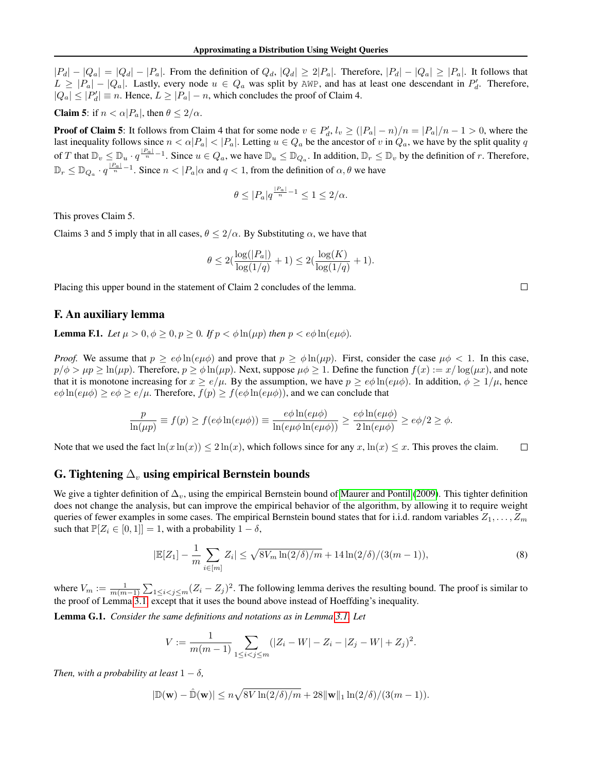$|P_d| - |Q_a| = |Q_d| - |P_a|$ . From the definition of  $Q_d$ ,  $|Q_d| \ge 2|P_a|$ . Therefore,  $|P_d| - |Q_a| \ge |P_a|$ . It follows that  $L \geq |P_a| - |Q_a|$ . Lastly, every node  $u \in Q_a$  was split by AWP, and has at least one descendant in  $P'_a$ . Therefore,  $|Q_a| \leq |P'_a| \equiv n$ . Hence,  $L \geq |P_a| - n$ , which concludes the proof of Claim 4.

**Claim 5:** if  $n < \alpha | P_a|$ , then  $\theta \leq 2/\alpha$ .

**Proof of Claim 5**: It follows from Claim 4 that for some node  $v \in P'_d$ ,  $l_v \geq (|P_a| - n)/n = |P_a|/n - 1 > 0$ , where the last inequality follows since  $n < \alpha |P_a| < |P_a|$ . Letting  $u \in Q_a$  be the ancestor of v in  $Q_a$ , we have by the split quality q of T that  $\mathbb{D}_v \leq \mathbb{D}_u \cdot q^{\frac{|P_a|}{n}-1}$ . Since  $u \in Q_a$ , we have  $\mathbb{D}_u \leq \mathbb{D}_{Q_a}$ . In addition,  $\mathbb{D}_r \leq \mathbb{D}_v$  by the definition of r. Therefore,  $\mathbb{D}_r \leq \mathbb{D}_{Q_a} \cdot q^{\frac{|P_a|}{n}-1}$ . Since  $n < |P_a| \alpha$  and  $q < 1$ , from the definition of  $\alpha, \theta$  we have

$$
\theta \le |P_a| q^{\frac{|P_a|}{n} - 1} \le 1 \le 2/\alpha.
$$

This proves Claim 5.

Claims 3 and 5 imply that in all cases,  $\theta \le 2/\alpha$ . By Substituting  $\alpha$ , we have that

$$
\theta \le 2(\frac{\log(|P_a|)}{\log(1/q)} + 1) \le 2(\frac{\log(K)}{\log(1/q)} + 1).
$$

Placing this upper bound in the statement of Claim 2 concludes of the lemma.

### F. An auxiliary lemma

**Lemma F.1.** *Let*  $\mu > 0, \phi \ge 0, p \ge 0$ *. If*  $p < \phi \ln(\mu p)$  *then*  $p < e\phi \ln(e\mu\phi)$ *.* 

*Proof.* We assume that  $p \ge e\phi \ln(e\mu\phi)$  and prove that  $p \ge \phi \ln(\mu p)$ . First, consider the case  $\mu\phi < 1$ . In this case,  $p/\phi > \mu p \ge \ln(\mu p)$ . Therefore,  $p \ge \phi \ln(\mu p)$ . Next, suppose  $\mu \phi \ge 1$ . Define the function  $f(x) := x/\log(\mu x)$ , and note that it is monotone increasing for  $x \ge e/\mu$ . By the assumption, we have  $p \ge e\phi \ln(e\mu\phi)$ . In addition,  $\phi \ge 1/\mu$ , hence  $e\phi \ln(e\mu\phi) \geq e\phi \geq e/\mu$ . Therefore,  $f(p) \geq f(e\phi \ln(e\mu\phi))$ , and we can conclude that

$$
\frac{p}{\ln(\mu p)} \equiv f(p) \ge f(e\phi \ln(e\mu\phi)) \equiv \frac{e\phi \ln(e\mu\phi)}{\ln(e\mu\phi \ln(e\mu\phi))} \ge \frac{e\phi \ln(e\mu\phi)}{2\ln(e\mu\phi)} \ge e\phi/2 \ge \phi.
$$

Note that we used the fact  $\ln(x \ln(x)) \leq 2 \ln(x)$ , which follows since for any  $x$ ,  $\ln(x) \leq x$ . This proves the claim.  $\Box$ 

## G. Tightening  $\Delta_v$  using empirical Bernstein bounds

We give a tighter definition of  $\Delta_v$ , using the empirical Bernstein bound of [Maurer and Pontil](#page--1-5) [\(2009\)](#page--1-5). This tighter definition does not change the analysis, but can improve the empirical behavior of the algorithm, by allowing it to require weight queries of fewer examples in some cases. The empirical Bernstein bound states that for i.i.d. random variables  $Z_1, \ldots, Z_m$ such that  $\mathbb{P}[Z_i \in [0,1]] = 1$ , with a probability  $1 - \delta$ ,

<span id="page-6-0"></span>
$$
|\mathbb{E}[Z_1] - \frac{1}{m} \sum_{i \in [m]} Z_i| \le \sqrt{8V_m \ln(2/\delta)/m} + 14 \ln(2/\delta)/(3(m-1)),\tag{8}
$$

where  $V_m := \frac{1}{m(m-1)} \sum_{1 \leq i < j \leq m} (Z_i - Z_j)^2$ . The following lemma derives the resulting bound. The proof is similar to the proof of Lemma [3.1,](#page--1-1) except that it uses the bound above instead of Hoeffding's inequality.

Lemma G.1. *Consider the same definitions and notations as in Lemma [3.1.](#page--1-1) Let*

$$
V := \frac{1}{m(m-1)} \sum_{1 \le i < j \le m} (|Z_i - W| - Z_i - |Z_j - W| + Z_j)^2.
$$

*Then, with a probability at least*  $1 - \delta$ *,* 

$$
|\mathbb{D}(\mathbf{w}) - \hat{\mathbb{D}}(\mathbf{w})| \le n\sqrt{8V\ln(2/\delta)/m} + 28\|\mathbf{w}\|_1 \ln(2/\delta)/(3(m-1)).
$$

 $\Box$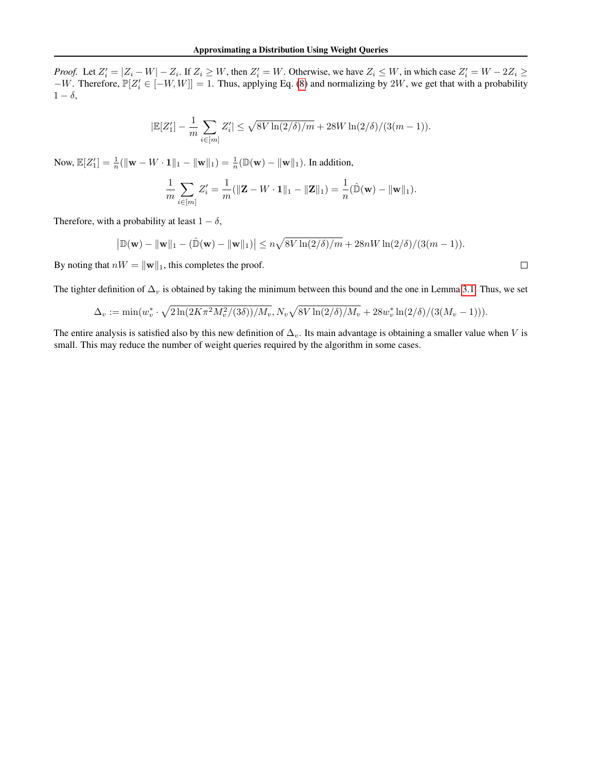*Proof.* Let  $Z_i' = |Z_i - W| - Z_i$ . If  $Z_i \geq W$ , then  $Z_i' = W$ . Otherwise, we have  $Z_i \leq W$ , in which case  $Z_i' = W - 2Z_i \geq W$  $-W$ . Therefore,  $\mathbb{P}[Z_i' \in [-W, W]] = 1$ . Thus, applying Eq. [\(8\)](#page-6-0) and normalizing by 2W, we get that with a probability  $1 - \delta$ ,

$$
|\mathbb{E}[Z_1'] - \frac{1}{m}\sum_{i \in [m]} Z_i'| \leq \sqrt{8V\ln(2/\delta)/m} + 28W\ln(2/\delta)/(3(m-1)).
$$

Now,  $\mathbb{E}[Z'_1] = \frac{1}{n} (\|\mathbf{w} - W \cdot \mathbf{1}\|_1 - \|\mathbf{w}\|_1) = \frac{1}{n} (\mathbb{D}(\mathbf{w}) - \|\mathbf{w}\|_1)$ . In addition,

$$
\frac{1}{m}\sum_{i\in[m]}Z_i' = \frac{1}{m}(\|\mathbf{Z} - W \cdot \mathbf{1}\|_1 - \|\mathbf{Z}\|_1) = \frac{1}{n}(\hat{\mathbb{D}}(\mathbf{w}) - \|\mathbf{w}\|_1).
$$

Therefore, with a probability at least  $1 - \delta$ ,

$$
\left| \mathbb{D}(\mathbf{w}) - \|\mathbf{w}\|_1 - (\hat{\mathbb{D}}(\mathbf{w}) - \|\mathbf{w}\|_1) \right| \le n\sqrt{8V \ln(2/\delta)/m} + 28nW \ln(2/\delta)/(3(m-1)).
$$

By noting that  $nW = ||\mathbf{w}||_1$ , this completes the proof.

 $\Box$ 

The tighter definition of  $\Delta_v$  is obtained by taking the minimum between this bound and the one in Lemma [3.1.](#page--1-1) Thus, we set

$$
\Delta_v := \min(w_v^* \cdot \sqrt{2\ln(2K\pi^2M_v^2/(3\delta))/M_v}, N_v\sqrt{8V\ln(2/\delta)/M_v} + 28w_v^*\ln(2/\delta)/(3(M_v-1))).
$$

The entire analysis is satisfied also by this new definition of  $\Delta_v$ . Its main advantage is obtaining a smaller value when V is small. This may reduce the number of weight queries required by the algorithm in some cases.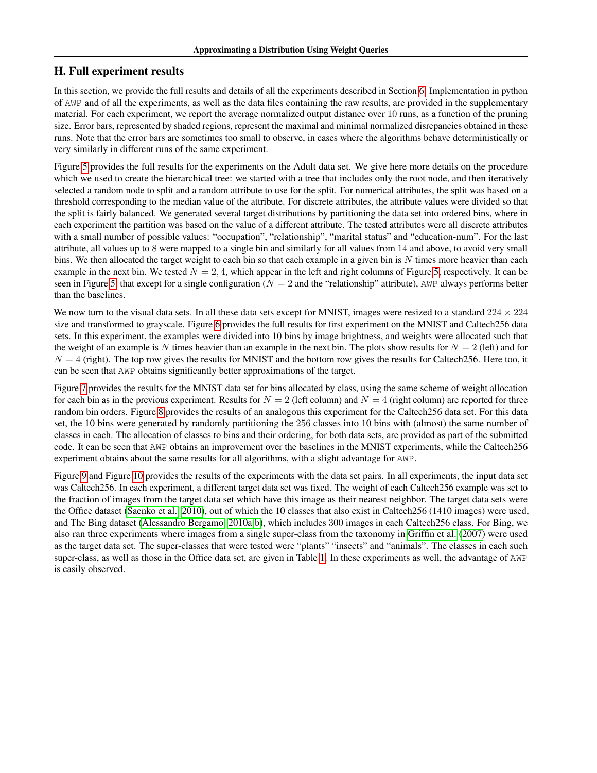# H. Full experiment results

In this section, we provide the full results and details of all the experiments described in Section [6.](#page--1-6) Implementation in python of AWP and of all the experiments, as well as the data files containing the raw results, are provided in the supplementary material. For each experiment, we report the average normalized output distance over 10 runs, as a function of the pruning size. Error bars, represented by shaded regions, represent the maximal and minimal normalized disrepancies obtained in these runs. Note that the error bars are sometimes too small to observe, in cases where the algorithms behave deterministically or very similarly in different runs of the same experiment.

Figure [5](#page-9-0) provides the full results for the experiments on the Adult data set. We give here more details on the procedure which we used to create the hierarchical tree: we started with a tree that includes only the root node, and then iteratively selected a random node to split and a random attribute to use for the split. For numerical attributes, the split was based on a threshold corresponding to the median value of the attribute. For discrete attributes, the attribute values were divided so that the split is fairly balanced. We generated several target distributions by partitioning the data set into ordered bins, where in each experiment the partition was based on the value of a different attribute. The tested attributes were all discrete attributes with a small number of possible values: "occupation", "relationship", "marital status" and "education-num". For the last attribute, all values up to 8 were mapped to a single bin and similarly for all values from 14 and above, to avoid very small bins. We then allocated the target weight to each bin so that each example in a given bin is  $N$  times more heavier than each example in the next bin. We tested  $N = 2, 4$ , which appear in the left and right columns of Figure [5,](#page-9-0) respectively. It can be seen in Figure [5,](#page-9-0) that except for a single configuration ( $N = 2$  and the "relationship" attribute), AWP always performs better than the baselines.

We now turn to the visual data sets. In all these data sets except for MNIST, images were resized to a standard  $224 \times 224$ size and transformed to grayscale. Figure [6](#page-10-0) provides the full results for first experiment on the MNIST and Caltech256 data sets. In this experiment, the examples were divided into 10 bins by image brightness, and weights were allocated such that the weight of an example is N times heavier than an example in the next bin. The plots show results for  $N = 2$  (left) and for  $N = 4$  (right). The top row gives the results for MNIST and the bottom row gives the results for Caltech256. Here too, it can be seen that AWP obtains significantly better approximations of the target.

Figure [7](#page-11-0) provides the results for the MNIST data set for bins allocated by class, using the same scheme of weight allocation for each bin as in the previous experiment. Results for  $N = 2$  (left column) and  $N = 4$  (right column) are reported for three random bin orders. Figure [8](#page-12-0) provides the results of an analogous this experiment for the Caltech256 data set. For this data set, the 10 bins were generated by randomly partitioning the 256 classes into 10 bins with (almost) the same number of classes in each. The allocation of classes to bins and their ordering, for both data sets, are provided as part of the submitted code. It can be seen that AWP obtains an improvement over the baselines in the MNIST experiments, while the Caltech256 experiment obtains about the same results for all algorithms, with a slight advantage for AWP.

Figure [9](#page-13-0) and Figure [10](#page-13-1) provides the results of the experiments with the data set pairs. In all experiments, the input data set was Caltech256. In each experiment, a different target data set was fixed. The weight of each Caltech256 example was set to the fraction of images from the target data set which have this image as their nearest neighbor. The target data sets were the Office dataset [\(Saenko et al., 2010\)](#page--1-7), out of which the 10 classes that also exist in Caltech256 (1410 images) were used, and The Bing dataset [\(Alessandro Bergamo, 2010a](#page--1-8)[;b\)](#page--1-9), which includes 300 images in each Caltech256 class. For Bing, we also ran three experiments where images from a single super-class from the taxonomy in [Griffin et al.](#page--1-10) [\(2007\)](#page--1-10) were used as the target data set. The super-classes that were tested were "plants" "insects" and "animals". The classes in each such super-class, as well as those in the Office data set, are given in Table [1.](#page-10-1) In these experiments as well, the advantage of AWP is easily observed.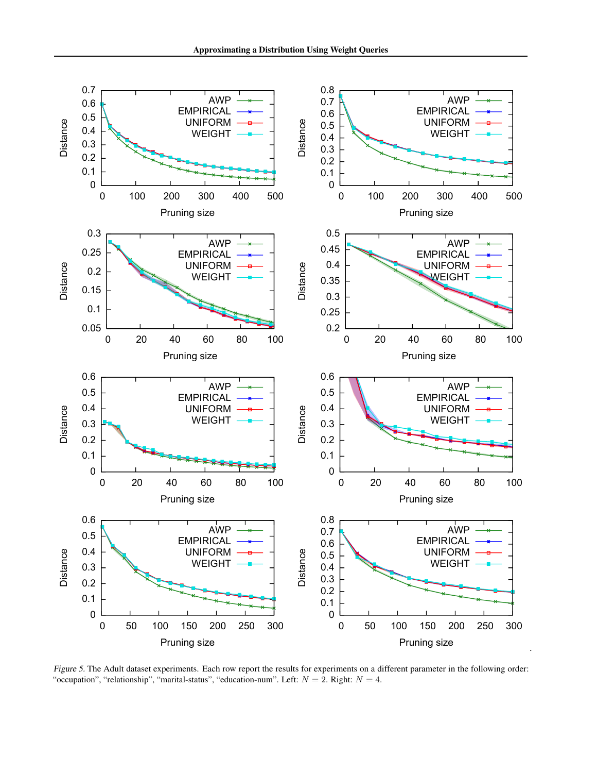

<span id="page-9-0"></span>Figure 5. The Adult dataset experiments. Each row report the results for experiments on a different parameter in the following order: "occupation", "relationship", "marital-status", "education-num". Left:  $N = 2$ . Right:  $N = 4$ .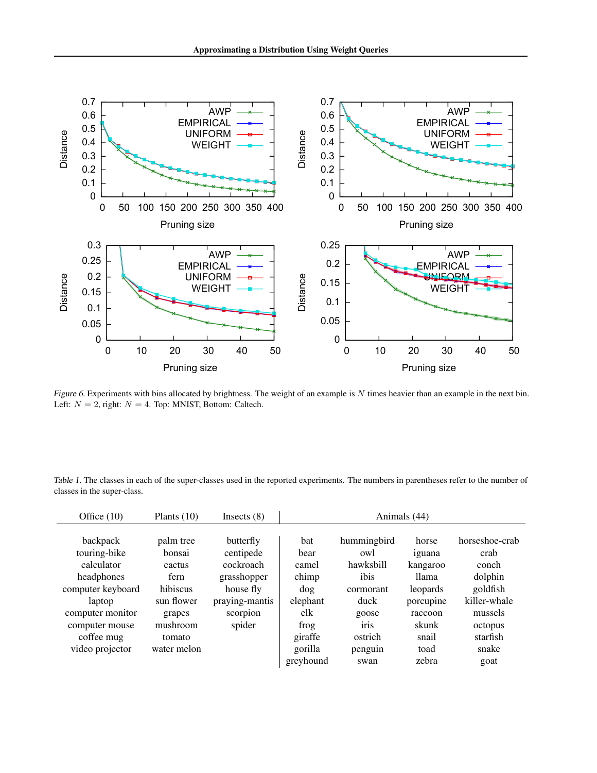

<span id="page-10-0"></span>Figure 6. Experiments with bins allocated by brightness. The weight of an example is  $N$  times heavier than an example in the next bin. Left:  $N = 2$ , right:  $N = 4$ . Top: MNIST, Bottom: Caltech.

<span id="page-10-1"></span>Table 1. The classes in each of the super-classes used in the reported experiments. The numbers in parentheses refer to the number of classes in the super-class.

| Office $(10)$     | Plants $(10)$ | Insects $(8)$  | Animals (44) |                   |           |                |  |
|-------------------|---------------|----------------|--------------|-------------------|-----------|----------------|--|
|                   |               |                |              |                   |           |                |  |
| backpack          | palm tree     | butterfly      | bat          | hummingbird       | horse     | horseshoe-crab |  |
| touring-bike      | bonsai        | centipede      | bear         | owl               | iguana    | crab           |  |
| calculator        | cactus        | cockroach      | camel        | hawksbill         | kangaroo  | conch          |  |
| headphones        | fern          | grasshopper    | chimp        | ibis              | llama     | dolphin        |  |
| computer keyboard | hibiscus      | house fly      | dog          | cormorant         | leopards  | goldfish       |  |
| laptop            | sun flower    | praying-mantis | elephant     | duck              | porcupine | killer-whale   |  |
| computer monitor  | grapes        | scorpion       | elk          | goose             | raccoon   | mussels        |  |
| computer mouse    | mushroom      | spider         | frog         | 1r <sub>1</sub> s | skunk     | octopus        |  |
| coffee mug        | tomato        |                | giraffe      | ostrich           | snail     | starfish       |  |
| video projector   | water melon   |                | gorilla      | penguin           | toad      | snake          |  |
|                   |               |                | greyhound    | swan              | zebra     | goat           |  |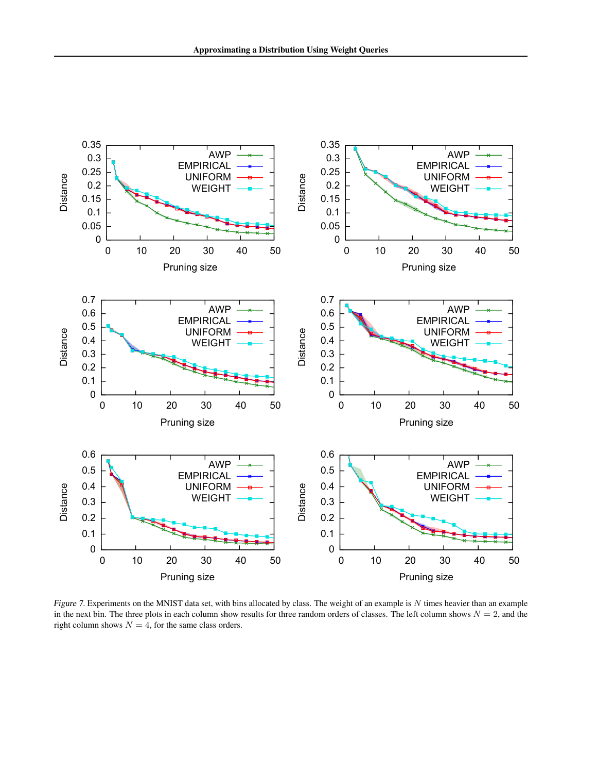

<span id="page-11-0"></span>Figure 7. Experiments on the MNIST data set, with bins allocated by class. The weight of an example is N times heavier than an example in the next bin. The three plots in each column show results for three random orders of classes. The left column shows  $N = 2$ , and the right column shows  $N = 4$ , for the same class orders.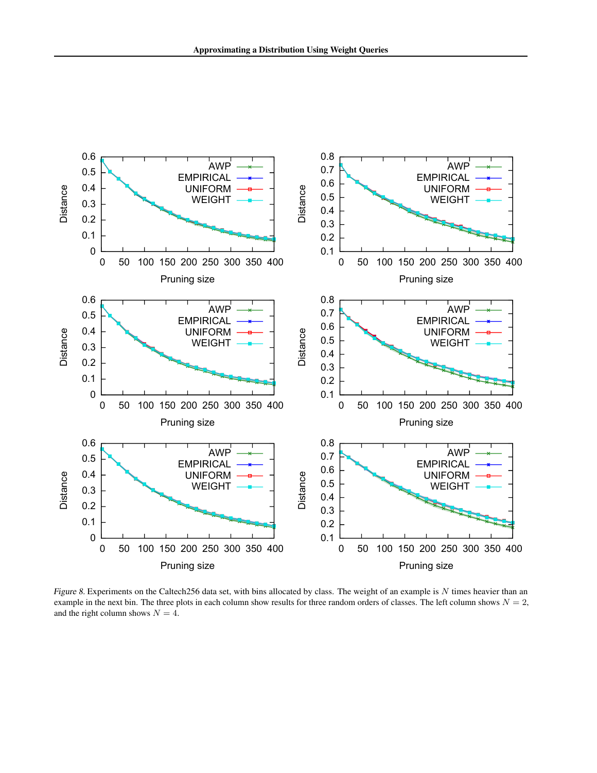

<span id="page-12-0"></span>Figure 8. Experiments on the Caltech256 data set, with bins allocated by class. The weight of an example is  $N$  times heavier than an example in the next bin. The three plots in each column show results for three random orders of classes. The left column shows  $N = 2$ , and the right column shows  $N = 4$ .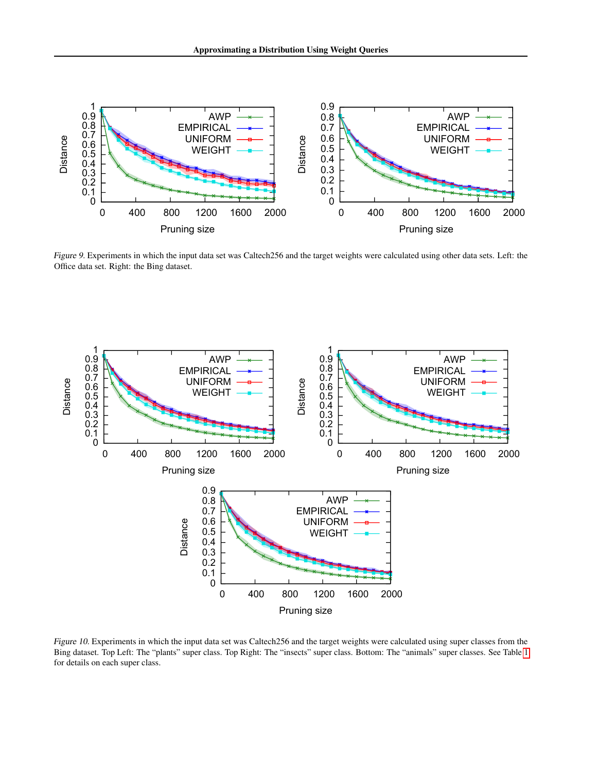

<span id="page-13-0"></span>Figure 9. Experiments in which the input data set was Caltech256 and the target weights were calculated using other data sets. Left: the Office data set. Right: the Bing dataset.



<span id="page-13-1"></span>Figure 10. Experiments in which the input data set was Caltech256 and the target weights were calculated using super classes from the Bing dataset. Top Left: The "plants" super class. Top Right: The "insects" super class. Bottom: The "animals" super classes. See Table [1](#page-10-1) for details on each super class.